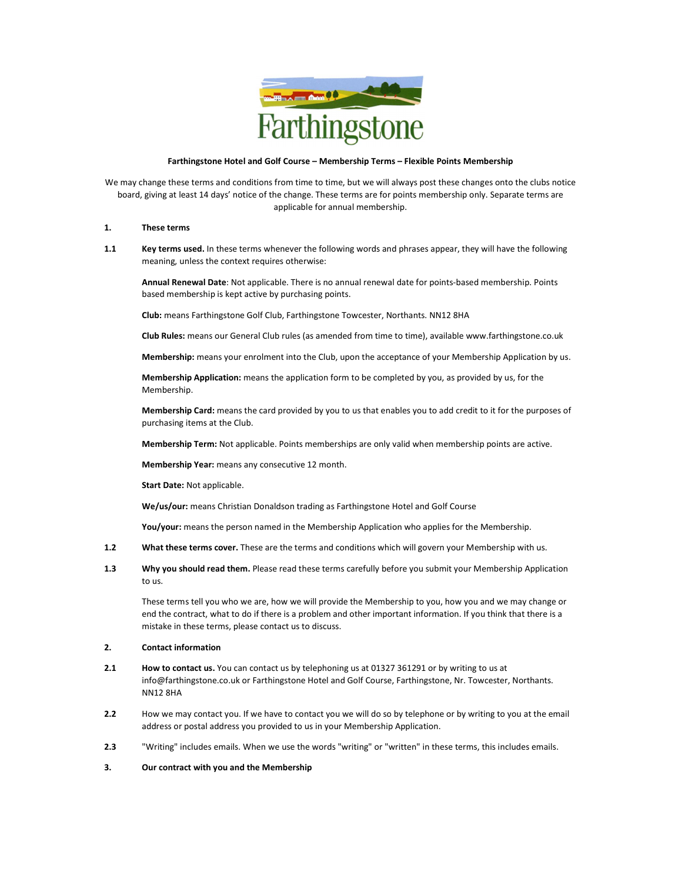

#### Farthingstone Hotel and Golf Course – Membership Terms – Flexible Points Membership

We may change these terms and conditions from time to time, but we will always post these changes onto the clubs notice board, giving at least 14 days' notice of the change. These terms are for points membership only. Separate terms are applicable for annual membership.

#### 1. These terms

1.1 Key terms used. In these terms whenever the following words and phrases appear, they will have the following meaning, unless the context requires otherwise:

Annual Renewal Date: Not applicable. There is no annual renewal date for points-based membership. Points based membership is kept active by purchasing points.

Club: means Farthingstone Golf Club, Farthingstone Towcester, Northants. NN12 8HA

Club Rules: means our General Club rules (as amended from time to time), available www.farthingstone.co.uk

Membership: means your enrolment into the Club, upon the acceptance of your Membership Application by us.

Membership Application: means the application form to be completed by you, as provided by us, for the Membership.

Membership Card: means the card provided by you to us that enables you to add credit to it for the purposes of purchasing items at the Club.

Membership Term: Not applicable. Points memberships are only valid when membership points are active.

Membership Year: means any consecutive 12 month.

Start Date: Not applicable.

We/us/our: means Christian Donaldson trading as Farthingstone Hotel and Golf Course

You/your: means the person named in the Membership Application who applies for the Membership.

- 1.2 What these terms cover. These are the terms and conditions which will govern your Membership with us.
- 1.3 Why you should read them. Please read these terms carefully before you submit your Membership Application to us.

These terms tell you who we are, how we will provide the Membership to you, how you and we may change or end the contract, what to do if there is a problem and other important information. If you think that there is a mistake in these terms, please contact us to discuss.

#### 2. Contact information

- 2.1 How to contact us. You can contact us by telephoning us at 01327 361291 or by writing to us at info@farthingstone.co.uk or Farthingstone Hotel and Golf Course, Farthingstone, Nr. Towcester, Northants. NN12 8HA
- 2.2 How we may contact you. If we have to contact you we will do so by telephone or by writing to you at the email address or postal address you provided to us in your Membership Application.
- 2.3 "Writing" includes emails. When we use the words "writing" or "written" in these terms, this includes emails.

## 3. Our contract with you and the Membership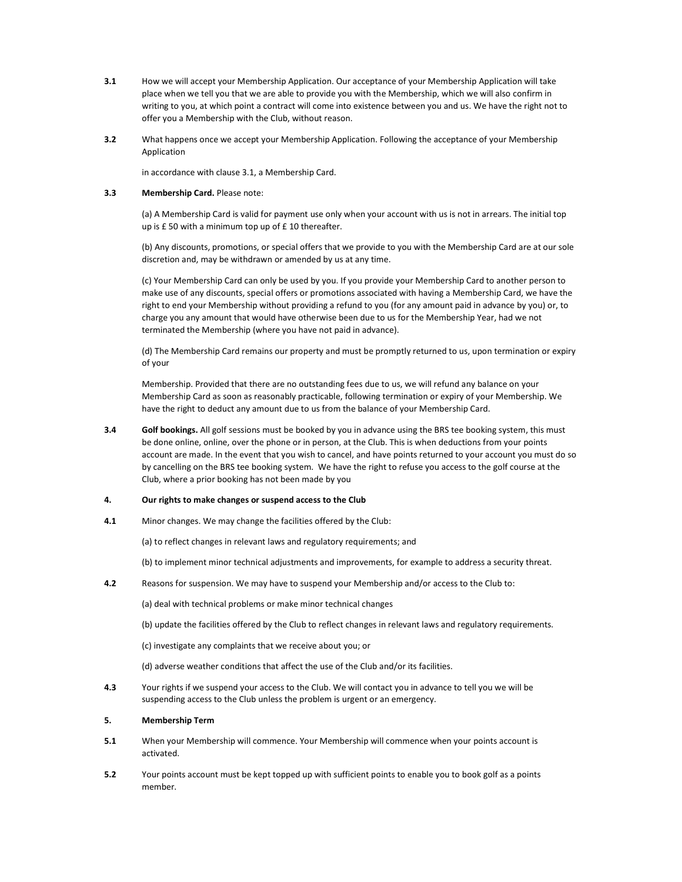- 3.1 How we will accept your Membership Application. Our acceptance of your Membership Application will take place when we tell you that we are able to provide you with the Membership, which we will also confirm in writing to you, at which point a contract will come into existence between you and us. We have the right not to offer you a Membership with the Club, without reason.
- 3.2 What happens once we accept your Membership Application. Following the acceptance of your Membership Application

in accordance with clause 3.1, a Membership Card.

#### 3.3 Membership Card. Please note:

(a) A Membership Card is valid for payment use only when your account with us is not in arrears. The initial top up is £ 50 with a minimum top up of £ 10 thereafter.

(b) Any discounts, promotions, or special offers that we provide to you with the Membership Card are at our sole discretion and, may be withdrawn or amended by us at any time.

(c) Your Membership Card can only be used by you. If you provide your Membership Card to another person to make use of any discounts, special offers or promotions associated with having a Membership Card, we have the right to end your Membership without providing a refund to you (for any amount paid in advance by you) or, to charge you any amount that would have otherwise been due to us for the Membership Year, had we not terminated the Membership (where you have not paid in advance).

(d) The Membership Card remains our property and must be promptly returned to us, upon termination or expiry of your

Membership. Provided that there are no outstanding fees due to us, we will refund any balance on your Membership Card as soon as reasonably practicable, following termination or expiry of your Membership. We have the right to deduct any amount due to us from the balance of your Membership Card.

3.4 Golf bookings. All golf sessions must be booked by you in advance using the BRS tee booking system, this must be done online, online, over the phone or in person, at the Club. This is when deductions from your points account are made. In the event that you wish to cancel, and have points returned to your account you must do so by cancelling on the BRS tee booking system. We have the right to refuse you access to the golf course at the Club, where a prior booking has not been made by you

#### 4. Our rights to make changes or suspend access to the Club

4.1 Minor changes. We may change the facilities offered by the Club:

(a) to reflect changes in relevant laws and regulatory requirements; and

(b) to implement minor technical adjustments and improvements, for example to address a security threat.

4.2 Reasons for suspension. We may have to suspend your Membership and/or access to the Club to:

(a) deal with technical problems or make minor technical changes

- (b) update the facilities offered by the Club to reflect changes in relevant laws and regulatory requirements.
- (c) investigate any complaints that we receive about you; or
- (d) adverse weather conditions that affect the use of the Club and/or its facilities.
- 4.3 Your rights if we suspend your access to the Club. We will contact you in advance to tell you we will be suspending access to the Club unless the problem is urgent or an emergency.

#### 5. Membership Term

- 5.1 When your Membership will commence. Your Membership will commence when your points account is activated.
- 5.2 Your points account must be kept topped up with sufficient points to enable you to book golf as a points member.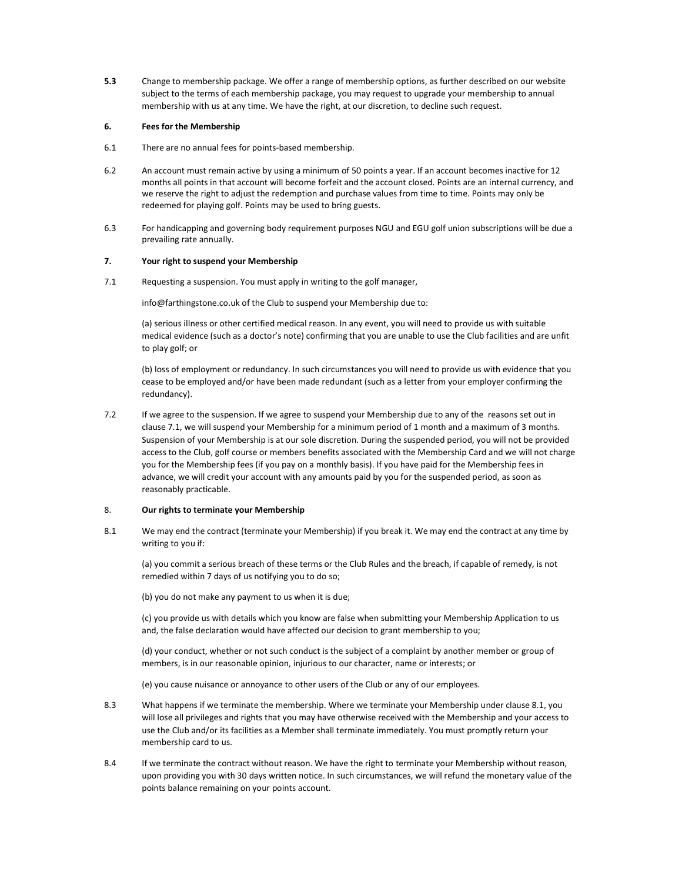5.3 Change to membership package. We offer a range of membership options, as further described on our website subject to the terms of each membership package, you may request to upgrade your membership to annual membership with us at any time. We have the right, at our discretion, to decline such request.

# 6. Fees for the Membership

- 6.1 There are no annual fees for points-based membership.
- 6.2 An account must remain active by using a minimum of 50 points a year. If an account becomes inactive for 12 months all points in that account will become forfeit and the account closed. Points are an internal currency, and we reserve the right to adjust the redemption and purchase values from time to time. Points may only be redeemed for playing golf. Points may be used to bring guests.
- 6.3 For handicapping and governing body requirement purposes NGU and EGU golf union subscriptions will be due a prevailing rate annually.

#### 7. Your right to suspend your Membership

7.1 Requesting a suspension. You must apply in writing to the golf manager,

info@farthingstone.co.uk of the Club to suspend your Membership due to:

(a) serious illness or other certified medical reason. In any event, you will need to provide us with suitable medical evidence (such as a doctor's note) confirming that you are unable to use the Club facilities and are unfit to play golf; or

(b) loss of employment or redundancy. In such circumstances you will need to provide us with evidence that you cease to be employed and/or have been made redundant (such as a letter from your employer confirming the redundancy).

7.2 If we agree to the suspension. If we agree to suspend your Membership due to any of the reasons set out in clause 7.1, we will suspend your Membership for a minimum period of 1 month and a maximum of 3 months. Suspension of your Membership is at our sole discretion. During the suspended period, you will not be provided access to the Club, golf course or members benefits associated with the Membership Card and we will not charge you for the Membership fees (if you pay on a monthly basis). If you have paid for the Membership fees in advance, we will credit your account with any amounts paid by you for the suspended period, as soon as reasonably practicable.

# 8. Our rights to terminate your Membership

8.1 We may end the contract (terminate your Membership) if you break it. We may end the contract at any time by writing to you if:

(a) you commit a serious breach of these terms or the Club Rules and the breach, if capable of remedy, is not remedied within 7 days of us notifying you to do so;

(b) you do not make any payment to us when it is due;

(c) you provide us with details which you know are false when submitting your Membership Application to us and, the false declaration would have affected our decision to grant membership to you;

(d) your conduct, whether or not such conduct is the subject of a complaint by another member or group of members, is in our reasonable opinion, injurious to our character, name or interests; or

(e) you cause nuisance or annoyance to other users of the Club or any of our employees.

- 8.3 What happens if we terminate the membership. Where we terminate your Membership under clause 8.1, you will lose all privileges and rights that you may have otherwise received with the Membership and your access to use the Club and/or its facilities as a Member shall terminate immediately. You must promptly return your membership card to us.
- 8.4 If we terminate the contract without reason. We have the right to terminate your Membership without reason, upon providing you with 30 days written notice. In such circumstances, we will refund the monetary value of the points balance remaining on your points account.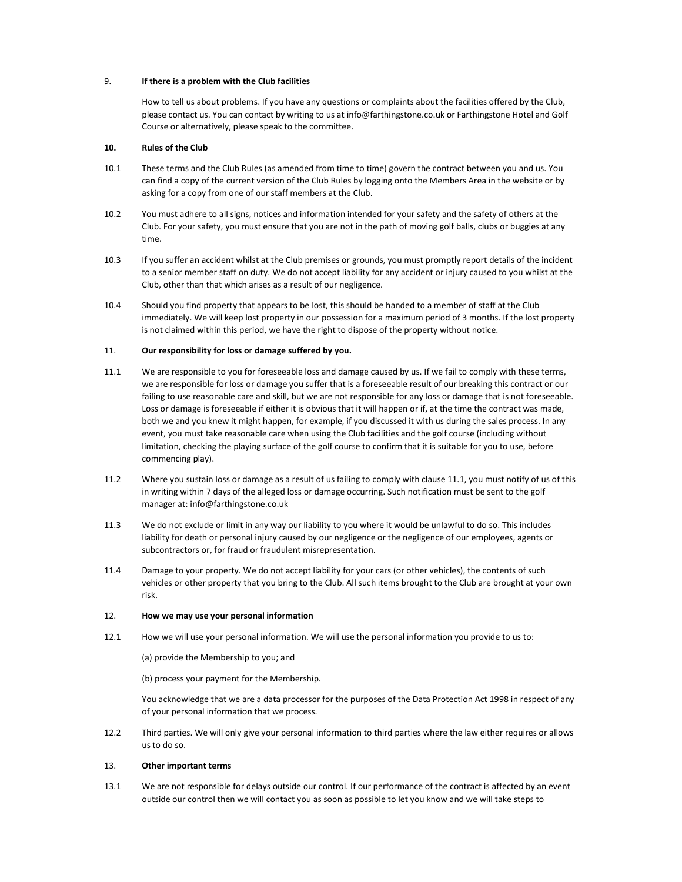#### 9. If there is a problem with the Club facilities

How to tell us about problems. If you have any questions or complaints about the facilities offered by the Club, please contact us. You can contact by writing to us at info@farthingstone.co.uk or Farthingstone Hotel and Golf Course or alternatively, please speak to the committee.

# 10. Rules of the Club

- 10.1 These terms and the Club Rules (as amended from time to time) govern the contract between you and us. You can find a copy of the current version of the Club Rules by logging onto the Members Area in the website or by asking for a copy from one of our staff members at the Club.
- 10.2 You must adhere to all signs, notices and information intended for your safety and the safety of others at the Club. For your safety, you must ensure that you are not in the path of moving golf balls, clubs or buggies at any time.
- 10.3 If you suffer an accident whilst at the Club premises or grounds, you must promptly report details of the incident to a senior member staff on duty. We do not accept liability for any accident or injury caused to you whilst at the Club, other than that which arises as a result of our negligence.
- 10.4 Should you find property that appears to be lost, this should be handed to a member of staff at the Club immediately. We will keep lost property in our possession for a maximum period of 3 months. If the lost property is not claimed within this period, we have the right to dispose of the property without notice.

#### 11. Our responsibility for loss or damage suffered by you.

- 11.1 We are responsible to you for foreseeable loss and damage caused by us. If we fail to comply with these terms, we are responsible for loss or damage you suffer that is a foreseeable result of our breaking this contract or our failing to use reasonable care and skill, but we are not responsible for any loss or damage that is not foreseeable. Loss or damage is foreseeable if either it is obvious that it will happen or if, at the time the contract was made, both we and you knew it might happen, for example, if you discussed it with us during the sales process. In any event, you must take reasonable care when using the Club facilities and the golf course (including without limitation, checking the playing surface of the golf course to confirm that it is suitable for you to use, before commencing play).
- 11.2 Where you sustain loss or damage as a result of us failing to comply with clause 11.1, you must notify of us of this in writing within 7 days of the alleged loss or damage occurring. Such notification must be sent to the golf manager at: info@farthingstone.co.uk
- 11.3 We do not exclude or limit in any way our liability to you where it would be unlawful to do so. This includes liability for death or personal injury caused by our negligence or the negligence of our employees, agents or subcontractors or, for fraud or fraudulent misrepresentation.
- 11.4 Damage to your property. We do not accept liability for your cars (or other vehicles), the contents of such vehicles or other property that you bring to the Club. All such items brought to the Club are brought at your own risk.

## 12. How we may use your personal information

12.1 How we will use your personal information. We will use the personal information you provide to us to:

(a) provide the Membership to you; and

(b) process your payment for the Membership.

You acknowledge that we are a data processor for the purposes of the Data Protection Act 1998 in respect of any of your personal information that we process.

12.2 Third parties. We will only give your personal information to third parties where the law either requires or allows us to do so.

# 13. Other important terms

13.1 We are not responsible for delays outside our control. If our performance of the contract is affected by an event outside our control then we will contact you as soon as possible to let you know and we will take steps to